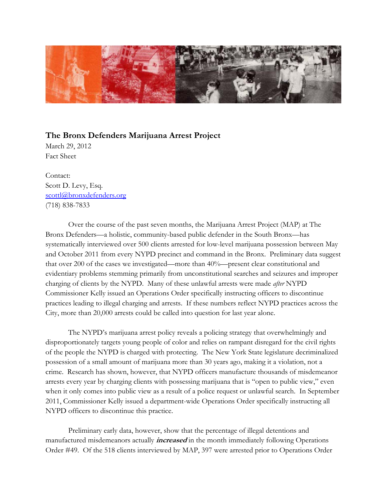

## **The Bronx Defenders Marijuana Arrest Project**

March 29, 2012 Fact Sheet

Contact: Scott D. Levy, Esq. scottl@bronxdefenders.org (718) 838-7833

 Over the course of the past seven months, the Marijuana Arrest Project (MAP) at The Bronx Defenders—a holistic, community-based public defender in the South Bronx—has systematically interviewed over 500 clients arrested for low-level marijuana possession between May and October 2011 from every NYPD precinct and command in the Bronx. Preliminary data suggest that over 200 of the cases we investigated—more than 40%—present clear constitutional and evidentiary problems stemming primarily from unconstitutional searches and seizures and improper charging of clients by the NYPD. Many of these unlawful arrests were made *after* NYPD Commissioner Kelly issued an Operations Order specifically instructing officers to discontinue practices leading to illegal charging and arrests. If these numbers reflect NYPD practices across the City, more than 20,000 arrests could be called into question for last year alone.

The NYPD's marijuana arrest policy reveals a policing strategy that overwhelmingly and disproportionately targets young people of color and relies on rampant disregard for the civil rights of the people the NYPD is charged with protecting. The New York State legislature decriminalized possession of a small amount of marijuana more than 30 years ago, making it a violation, not a crime. Research has shown, however, that NYPD officers manufacture thousands of misdemeanor arrests every year by charging clients with possessing marijuana that is "open to public view," even when it only comes into public view as a result of a police request or unlawful search. In September 2011, Commissioner Kelly issued a department-wide Operations Order specifically instructing all NYPD officers to discontinue this practice.

Preliminary early data, however, show that the percentage of illegal detentions and manufactured misdemeanors actually **increased** in the month immediately following Operations Order #49. Of the 518 clients interviewed by MAP, 397 were arrested prior to Operations Order